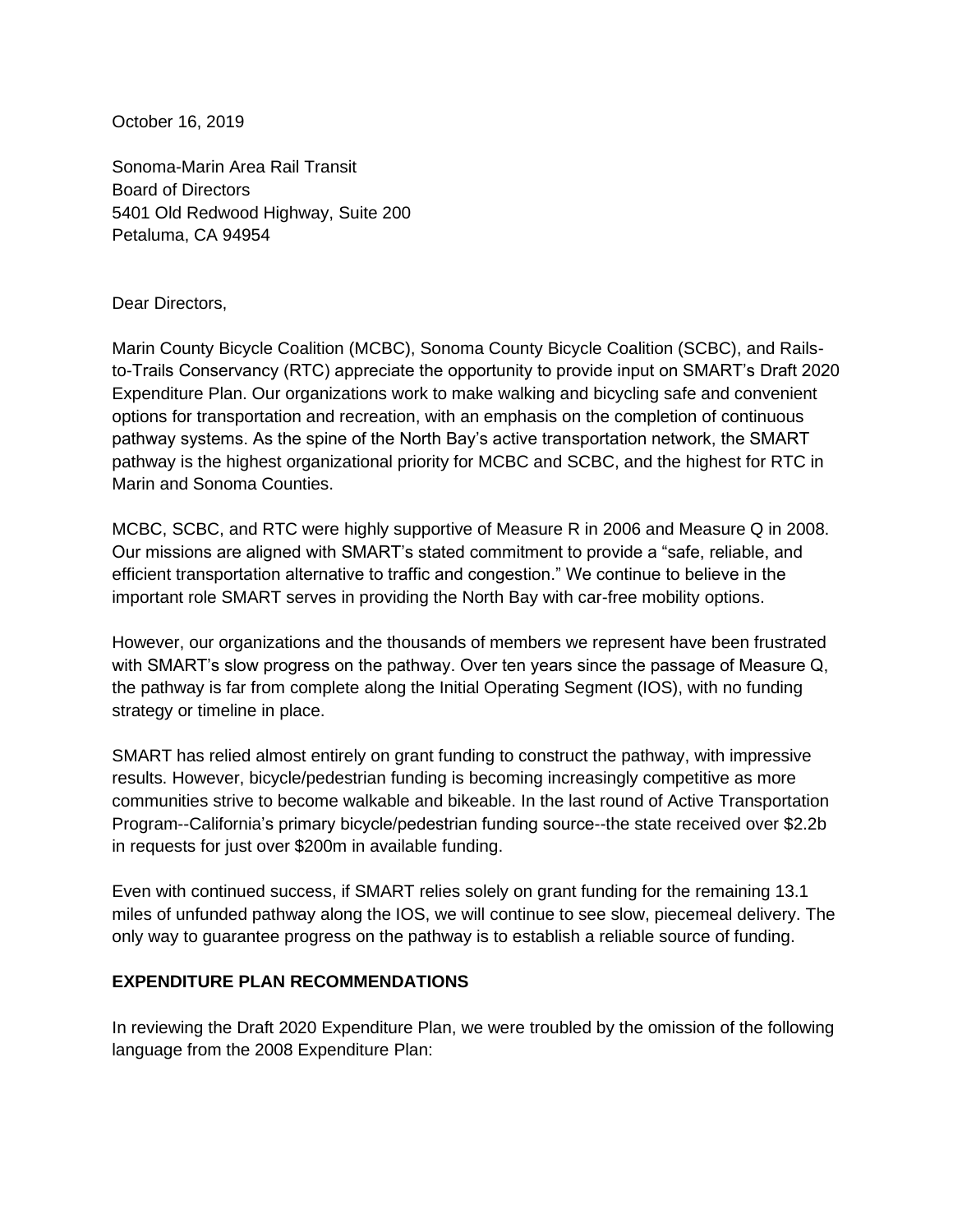October 16, 2019

Sonoma-Marin Area Rail Transit Board of Directors 5401 Old Redwood Highway, Suite 200 Petaluma, CA 94954

#### Dear Directors,

Marin County Bicycle Coalition (MCBC), Sonoma County Bicycle Coalition (SCBC), and Railsto-Trails Conservancy (RTC) appreciate the opportunity to provide input on SMART's Draft 2020 Expenditure Plan. Our organizations work to make walking and bicycling safe and convenient options for transportation and recreation, with an emphasis on the completion of continuous pathway systems. As the spine of the North Bay's active transportation network, the SMART pathway is the highest organizational priority for MCBC and SCBC, and the highest for RTC in Marin and Sonoma Counties.

MCBC, SCBC, and RTC were highly supportive of Measure R in 2006 and Measure Q in 2008. Our missions are aligned with SMART's stated commitment to provide a "safe, reliable, and efficient transportation alternative to traffic and congestion." We continue to believe in the important role SMART serves in providing the North Bay with car-free mobility options.

However, our organizations and the thousands of members we represent have been frustrated with SMART's slow progress on the pathway. Over ten years since the passage of Measure Q, the pathway is far from complete along the Initial Operating Segment (IOS), with no funding strategy or timeline in place.

SMART has relied almost entirely on grant funding to construct the pathway, with impressive results. However, bicycle/pedestrian funding is becoming increasingly competitive as more communities strive to become walkable and bikeable. In the last round of Active Transportation Program--California's primary bicycle/pedestrian funding source--the state received over \$2.2b in requests for just over \$200m in available funding.

Even with continued success, if SMART relies solely on grant funding for the remaining 13.1 miles of unfunded pathway along the IOS, we will continue to see slow, piecemeal delivery. The only way to guarantee progress on the pathway is to establish a reliable source of funding.

### **EXPENDITURE PLAN RECOMMENDATIONS**

In reviewing the Draft 2020 Expenditure Plan, we were troubled by the omission of the following language from the 2008 Expenditure Plan: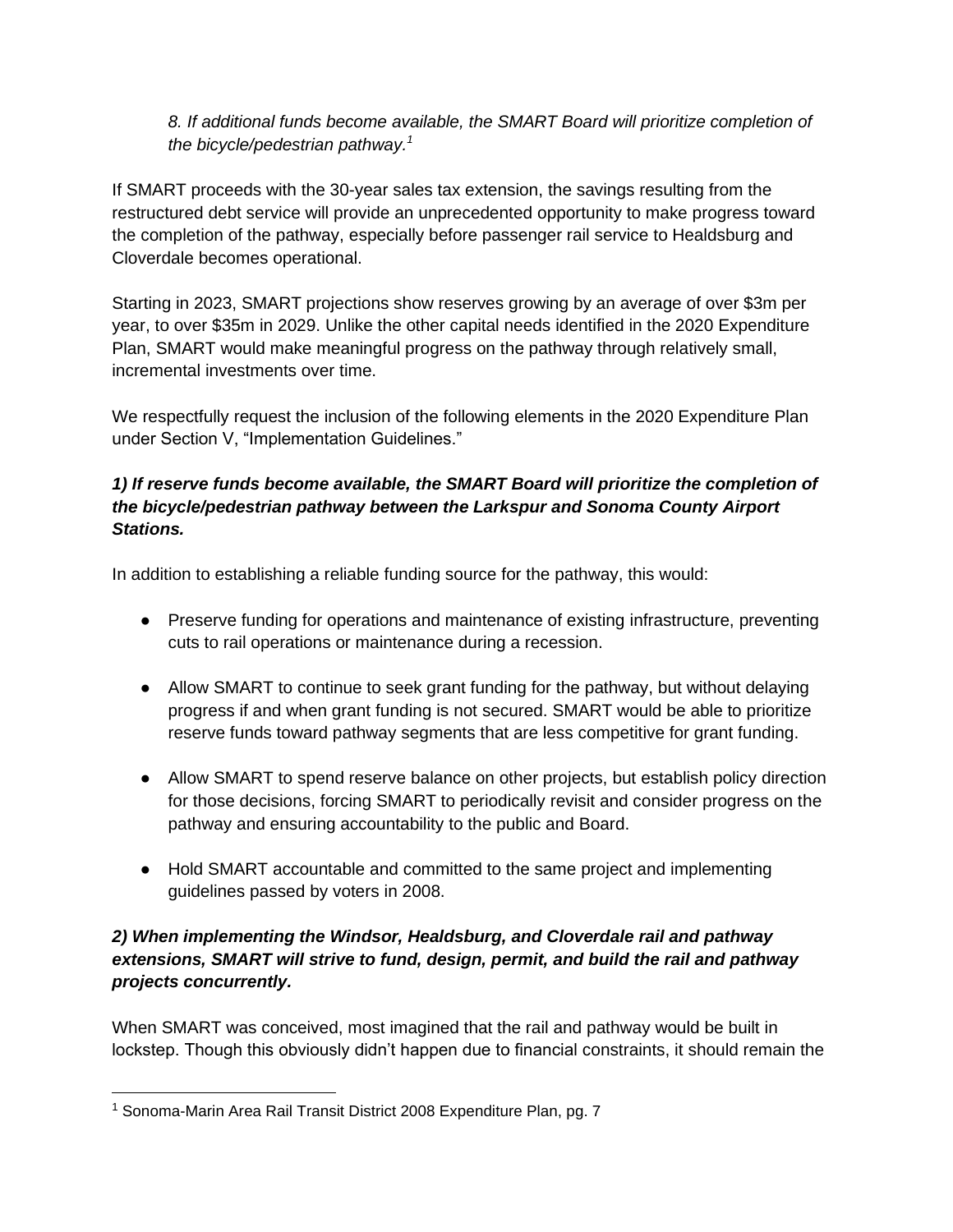## *8. If additional funds become available, the SMART Board will prioritize completion of the bicycle/pedestrian pathway.<sup>1</sup>*

If SMART proceeds with the 30-year sales tax extension, the savings resulting from the restructured debt service will provide an unprecedented opportunity to make progress toward the completion of the pathway, especially before passenger rail service to Healdsburg and Cloverdale becomes operational.

Starting in 2023, SMART projections show reserves growing by an average of over \$3m per year, to over \$35m in 2029. Unlike the other capital needs identified in the 2020 Expenditure Plan, SMART would make meaningful progress on the pathway through relatively small, incremental investments over time.

We respectfully request the inclusion of the following elements in the 2020 Expenditure Plan under Section V, "Implementation Guidelines."

## *1) If reserve funds become available, the SMART Board will prioritize the completion of the bicycle/pedestrian pathway between the Larkspur and Sonoma County Airport Stations.*

In addition to establishing a reliable funding source for the pathway, this would:

- Preserve funding for operations and maintenance of existing infrastructure, preventing cuts to rail operations or maintenance during a recession.
- Allow SMART to continue to seek grant funding for the pathway, but without delaying progress if and when grant funding is not secured. SMART would be able to prioritize reserve funds toward pathway segments that are less competitive for grant funding.
- Allow SMART to spend reserve balance on other projects, but establish policy direction for those decisions, forcing SMART to periodically revisit and consider progress on the pathway and ensuring accountability to the public and Board.
- Hold SMART accountable and committed to the same project and implementing guidelines passed by voters in 2008.

# *2) When implementing the Windsor, Healdsburg, and Cloverdale rail and pathway extensions, SMART will strive to fund, design, permit, and build the rail and pathway projects concurrently.*

When SMART was conceived, most imagined that the rail and pathway would be built in lockstep. Though this obviously didn't happen due to financial constraints, it should remain the

<sup>&</sup>lt;sup>1</sup> Sonoma-Marin Area Rail Transit District 2008 Expenditure Plan, pg. 7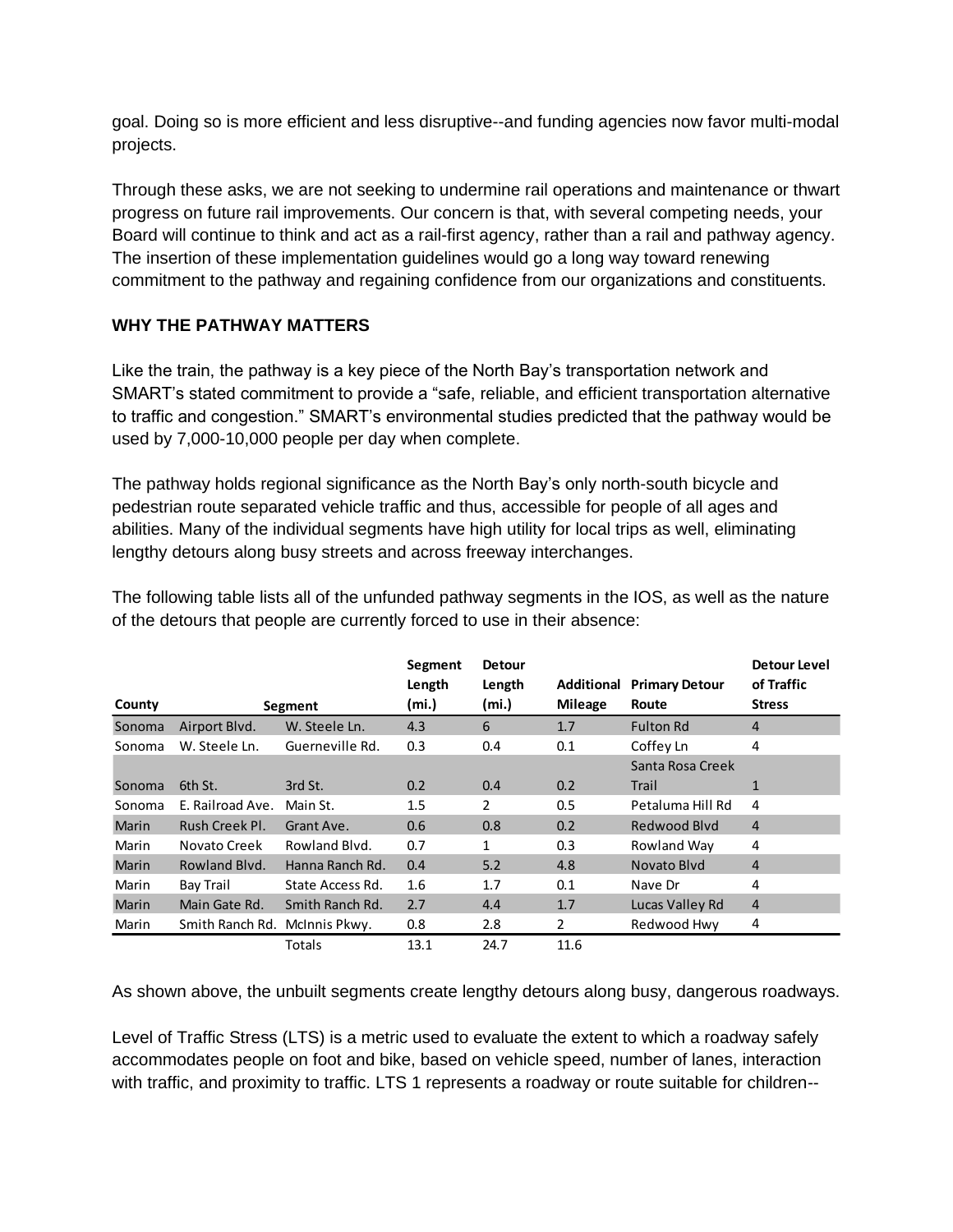goal. Doing so is more efficient and less disruptive--and funding agencies now favor multi-modal projects.

Through these asks, we are not seeking to undermine rail operations and maintenance or thwart progress on future rail improvements. Our concern is that, with several competing needs, your Board will continue to think and act as a rail-first agency, rather than a rail and pathway agency. The insertion of these implementation guidelines would go a long way toward renewing commitment to the pathway and regaining confidence from our organizations and constituents.

## **WHY THE PATHWAY MATTERS**

Like the train, the pathway is a key piece of the North Bay's transportation network and SMART's stated commitment to provide a "safe, reliable, and efficient transportation alternative to traffic and congestion." SMART's environmental studies predicted that the pathway would be used by 7,000-10,000 people per day when complete.

The pathway holds regional significance as the North Bay's only north-south bicycle and pedestrian route separated vehicle traffic and thus, accessible for people of all ages and abilities. Many of the individual segments have high utility for local trips as well, eliminating lengthy detours along busy streets and across freeway interchanges.

|              |                  |                  | Segment<br>Length | <b>Detour</b><br>Length | <b>Additional</b> | <b>Primary Detour</b> | <b>Detour Level</b><br>of Traffic |
|--------------|------------------|------------------|-------------------|-------------------------|-------------------|-----------------------|-----------------------------------|
| County       | Segment          |                  | (mi.)             | (mi.)                   | <b>Mileage</b>    | Route                 | <b>Stress</b>                     |
| Sonoma       | Airport Blvd.    | W. Steele Ln.    | 4.3               | 6                       | 1.7               | <b>Fulton Rd</b>      | $\overline{4}$                    |
| Sonoma       | W. Steele Ln.    | Guerneville Rd.  | 0.3               | 0.4                     | 0.1               | Coffey Ln             | 4                                 |
|              |                  |                  |                   |                         |                   | Santa Rosa Creek      |                                   |
| Sonoma       | 6th St.          | 3rd St.          | 0.2               | 0.4                     | 0.2               | Trail                 | $\mathbf{1}$                      |
| Sonoma       | E. Railroad Ave. | Main St.         | $1.5\,$           | 2                       | 0.5               | Petaluma Hill Rd      | 4                                 |
| <b>Marin</b> | Rush Creek Pl.   | Grant Ave.       | 0.6               | 0.8                     | 0.2               | Redwood Blyd          | $\overline{4}$                    |
| Marin        | Novato Creek     | Rowland Blvd.    | 0.7               | 1                       | 0.3               | Rowland Way           | 4                                 |
| <b>Marin</b> | Rowland Blvd.    | Hanna Ranch Rd.  | 0.4               | 5.2                     | 4.8               | Novato Blyd           | $\overline{4}$                    |
| Marin        | Bay Trail        | State Access Rd. | 1.6               | 1.7                     | 0.1               | Nave Dr               | 4                                 |
| <b>Marin</b> | Main Gate Rd.    | Smith Ranch Rd.  | 2.7               | 4.4                     | 1.7               | Lucas Valley Rd       | $\overline{4}$                    |
| Marin        | Smith Ranch Rd.  | McInnis Pkwy.    | 0.8               | 2.8                     | $\overline{2}$    | Redwood Hwy           | 4                                 |
|              |                  | Totals           | 13.1              | 24.7                    | 11.6              |                       |                                   |

The following table lists all of the unfunded pathway segments in the IOS, as well as the nature of the detours that people are currently forced to use in their absence:

As shown above, the unbuilt segments create lengthy detours along busy, dangerous roadways.

Level of Traffic Stress (LTS) is a metric used to evaluate the extent to which a roadway safely accommodates people on foot and bike, based on vehicle speed, number of lanes, interaction with traffic, and proximity to traffic. LTS 1 represents a roadway or route suitable for children--